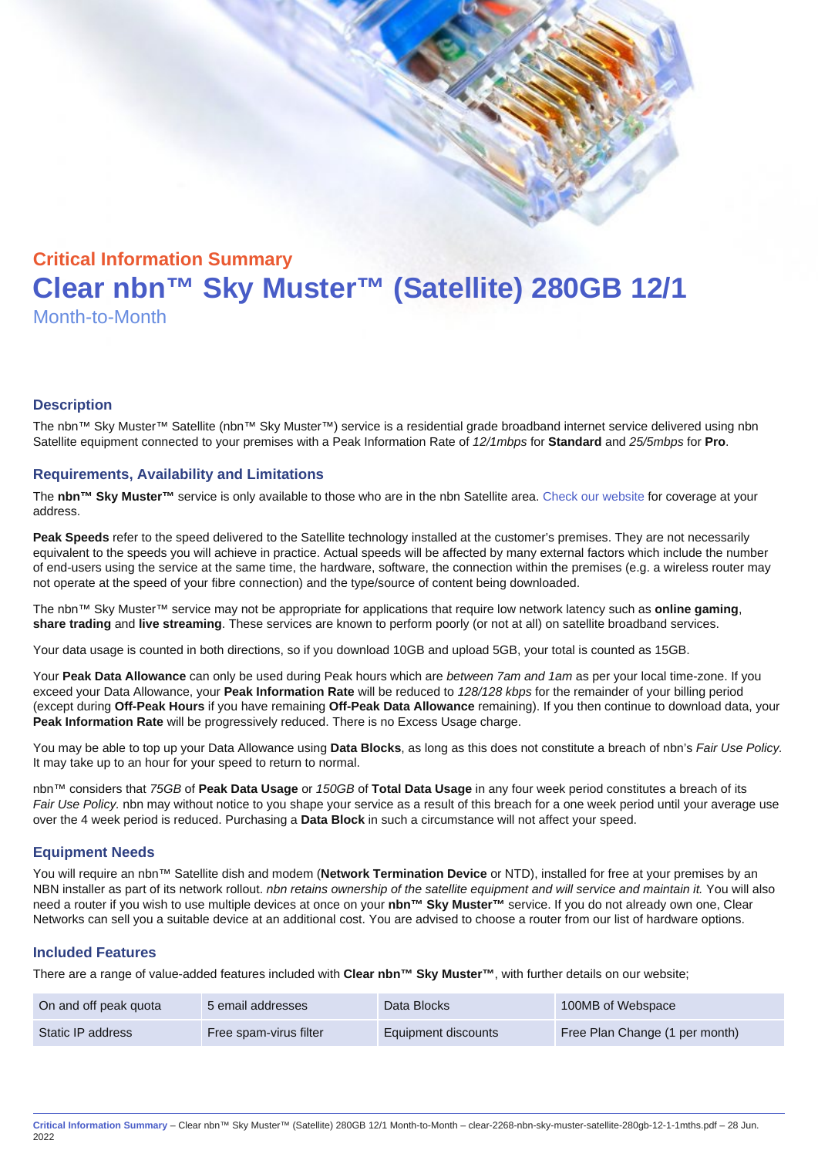# Critical Information Summary Clear nbn™ Sky Muster™ (Satellite) 280GB 12/1 Month-to-Month

#### **Description**

The nbn™ Sky Muster™ Satellite (nbn™ Sky Muster™) service is a residential grade broadband internet service delivered using nbn Satellite equipment connected to your premises with a Peak Information Rate of 12/1mbps for Standard and 25/5mbps for Pro.

#### Requirements, Availability and Limitations

The nbn™ Sky Muster™ service is only available to those who are in the nbn Satellite area. [Check our website](https://www.clear.com.au/corporate-government/nbn-sky-muster/availability-coverage/) for coverage at your address.

Peak Speeds refer to the speed delivered to the Satellite technology installed at the customer's premises. They are not necessarily equivalent to the speeds you will achieve in practice. Actual speeds will be affected by many external factors which include the number of end-users using the service at the same time, the hardware, software, the connection within the premises (e.g. a wireless router may not operate at the speed of your fibre connection) and the type/source of content being downloaded.

The nbn™ Sky Muster™ service may not be appropriate for applications that require low network latency such as online gaming , share trading and live streaming . These services are known to perform poorly (or not at all) on satellite broadband services.

Your data usage is counted in both directions, so if you download 10GB and upload 5GB, your total is counted as 15GB.

Your Peak Data Allowance can only be used during Peak hours which are between 7am and 1am as per your local time-zone. If you exceed your Data Allowance, your Peak Information Rate will be reduced to 128/128 kbps for the remainder of your billing period (except during Off-Peak Hours if you have remaining Off-Peak Data Allowance remaining). If you then continue to download data, your Peak Information Rate will be progressively reduced. There is no Excess Usage charge.

You may be able to top up your Data Allowance using Data Blocks , as long as this does not constitute a breach of nbn's Fair Use Policy. It may take up to an hour for your speed to return to normal.

nbn™ considers that 75GB of Peak Data Usage or 150GB of Total Data Usage in any four week period constitutes a breach of its Fair Use Policy. nbn may without notice to you shape your service as a result of this breach for a one week period until your average use over the 4 week period is reduced. Purchasing a Data Block in such a circumstance will not affect your speed.

#### Equipment Needs

You will require an nbn™ Satellite dish and modem (Network Termination Device or NTD), installed for free at your premises by an NBN installer as part of its network rollout. nbn retains ownership of the satellite equipment and will service and maintain it. You will also need a router if you wish to use multiple devices at once on your nbn™ Sky Muster™ service. If you do not already own one, Clear Networks can sell you a suitable device at an additional cost. You are advised to choose a router from our list of hardware options.

#### Included Features

There are a range of value-added features included with Clear nbn™ Sky Muster™ , with further details on our website;

| On and off peak quota | 5 email addresses      | Data Blocks         | 100MB of Webspace              |
|-----------------------|------------------------|---------------------|--------------------------------|
| Static IP address     | Free spam-virus filter | Equipment discounts | Free Plan Change (1 per month) |